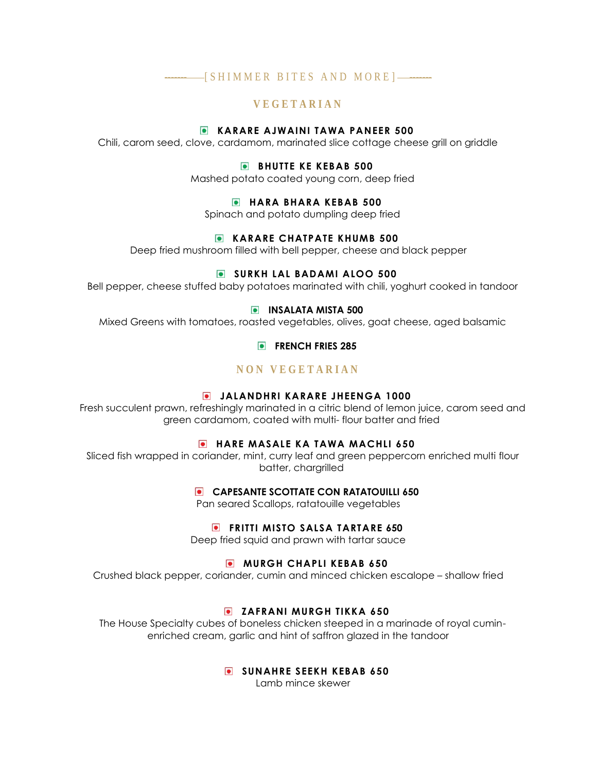# ------- [ S H I M M E R B I T E S A N D M O R E ] -------

# **V E G E T A R I A N**

### **KARARE AJWAINI TAWA PANEER 500**

Chili, carom seed, clove, cardamom, marinated slice cottage cheese grill on griddle

## **BHUTTE KE KEBAB 500**

Mashed potato coated young corn, deep fried

#### **HARA BHARA KEBAB 500**

Spinach and potato dumpling deep fried

### **KARARE CHATPATE KHUMB 500**

Deep fried mushroom filled with bell pepper, cheese and black pepper

## **SURKH LAL BADAMI ALOO 500**

Bell pepper, cheese stuffed baby potatoes marinated with chili, yoghurt cooked in tandoor

#### **INSALATA MISTA 500**

Mixed Greens with tomatoes, roasted vegetables, olives, goat cheese, aged balsamic

**FRENCH FRIES 285** 

## **N O N V E G E T A R I A N**

#### **JALANDHRI KARARE JHEENGA 1000**

Fresh succulent prawn, refreshingly marinated in a citric blend of lemon juice, carom seed and green cardamom, coated with multi- flour batter and fried

#### **HARE MASALE KA TAWA MACHLI 650**

Sliced fish wrapped in coriander, mint, curry leaf and green peppercorn enriched multi flour batter, chargrilled

#### **CAPESANTE SCOTTATE CON RATATOUILLI 650**

Pan seared Scallops, ratatouille vegetables

## **FRITTI MISTO SALSA TARTARE 650**

Deep fried squid and prawn with tartar sauce

# **MURGH CHAPLI KEBAB 650**

Crushed black pepper, coriander, cumin and minced chicken escalope – shallow fried

## **E** ZAFRANI MURGH TIKKA 650

The House Specialty cubes of boneless chicken steeped in a marinade of royal cuminenriched cream, garlic and hint of saffron glazed in the tandoor

## **SUNAHRE SEEKH KEBAB 650**

Lamb mince skewer